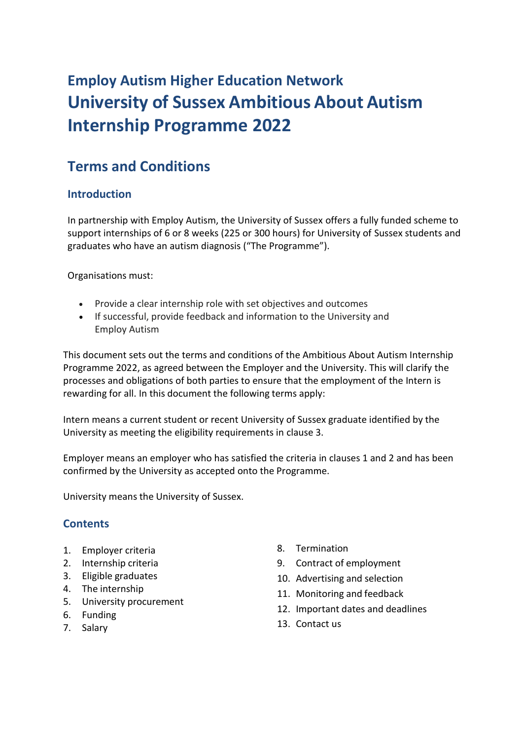# **Employ Autism Higher Education Network University of Sussex Ambitious About Autism Internship Programme 2022**

# **Terms and Conditions**

# **Introduction**

In partnership with Employ Autism, the University of Sussex offers a fully funded scheme to support internships of 6 or 8 weeks (225 or 300 hours) for University of Sussex students and graduates who have an autism diagnosis ("The Programme").

Organisations must:

- Provide a clear internship role with set objectives and outcomes
- If successful, provide feedback and information to the University and Employ Autism

This document sets out the terms and conditions of the Ambitious About Autism Internship Programme 2022, as agreed between the Employer and the University. This will clarify the processes and obligations of both parties to ensure that the employment of the Intern is rewarding for all. In this document the following terms apply:

Intern means a current student or recent University of Sussex graduate identified by the University as meeting the eligibility requirements in clause 3.

Employer means an employer who has satisfied the criteria in clauses 1 and 2 and has been confirmed by the University as accepted onto the Programme.

University means the University of Sussex.

# **Contents**

- 1. Employer criteria
- 2. Internship criteria
- 3. Eligible graduates
- 4. The internship
- 5. University procurement
- 6. Funding
- 7. Salary
- 8. Termination
- 9. Contract of employment
- 10. Advertising and selection
- 11. Monitoring and feedback
- 12. Important dates and deadlines
- 13. Contact us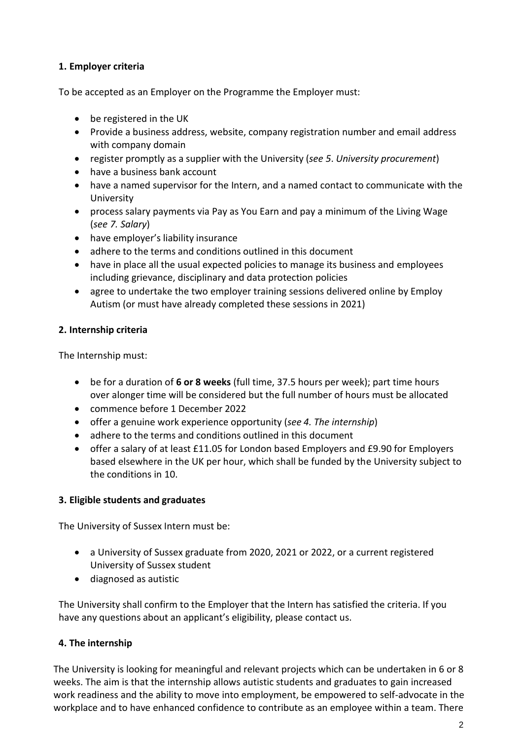# **1. Employer criteria**

To be accepted as an Employer on the Programme the Employer must:

- be registered in the UK
- Provide a business address, website, company registration number and email address with company domain
- register promptly as a supplier with the University (*see 5*. *University procurement*)
- have a business bank account
- have a named supervisor for the Intern, and a named contact to communicate with the University
- process salary payments via Pay as You Earn and pay a minimum of the Living Wage (*see 7. Salary*)
- have employer's liability insurance
- adhere to the terms and conditions outlined in this document
- have in place all the usual expected policies to manage its business and employees including grievance, disciplinary and data protection policies
- agree to undertake the two employer training sessions delivered online by Employ Autism (or must have already completed these sessions in 2021)

# **2. Internship criteria**

The Internship must:

- be for a duration of **6 or 8 weeks** (full time, 37.5 hours per week); part time hours over alonger time will be considered but the full number of hours must be allocated
- commence before 1 December 2022
- offer a genuine work experience opportunity (*see 4. The internship*)
- adhere to the terms and conditions outlined in this document
- offer a salary of at least £11.05 for London based Employers and £9.90 for Employers based elsewhere in the UK per hour, which shall be funded by the University subject to the conditions in 10.

# **3. Eligible students and graduates**

The University of Sussex Intern must be:

- a University of Sussex graduate from 2020, 2021 or 2022, or a current registered University of Sussex student
- diagnosed as autistic

The University shall confirm to the Employer that the Intern has satisfied the criteria. If you have any questions about an applicant's eligibility, please contact us.

# **4. The internship**

The University is looking for meaningful and relevant projects which can be undertaken in 6 or 8 weeks. The aim is that the internship allows autistic students and graduates to gain increased work readiness and the ability to move into employment, be empowered to self-advocate in the workplace and to have enhanced confidence to contribute as an employee within a team. There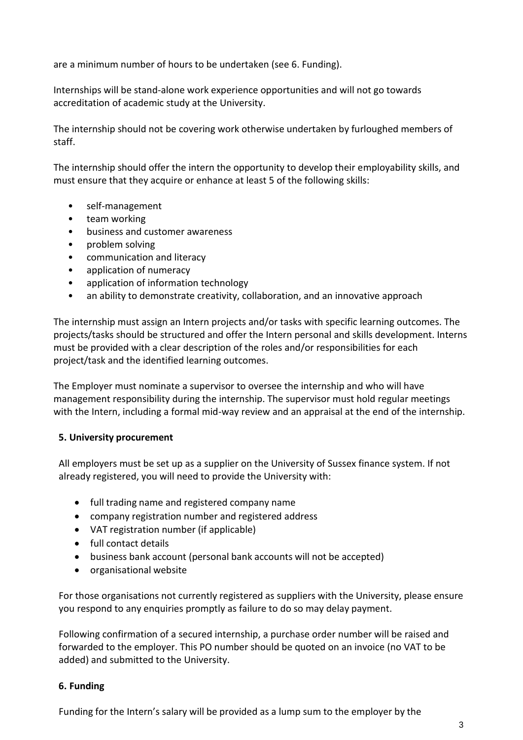are a minimum number of hours to be undertaken (see 6. Funding).

Internships will be stand-alone work experience opportunities and will not go towards accreditation of academic study at the University.

The internship should not be covering work otherwise undertaken by furloughed members of staff.

The internship should offer the intern the opportunity to develop their employability skills, and must ensure that they acquire or enhance at least 5 of the following skills:

- self-management
- team working
- business and customer awareness
- problem solving
- communication and literacy
- application of numeracy
- application of information technology
- an ability to demonstrate creativity, collaboration, and an innovative approach

The internship must assign an Intern projects and/or tasks with specific learning outcomes. The projects/tasks should be structured and offer the Intern personal and skills development. Interns must be provided with a clear description of the roles and/or responsibilities for each project/task and the identified learning outcomes.

The Employer must nominate a supervisor to oversee the internship and who will have management responsibility during the internship. The supervisor must hold regular meetings with the Intern, including a formal mid-way review and an appraisal at the end of the internship.

#### **5. University procurement**

All employers must be set up as a supplier on the University of Sussex finance system. If not already registered, you will need to provide the University with:

- full trading name and registered company name
- company registration number and registered address
- VAT registration number (if applicable)
- full contact details
- business bank account (personal bank accounts will not be accepted)
- organisational website

For those organisations not currently registered as suppliers with the University, please ensure you respond to any enquiries promptly as failure to do so may delay payment.

Following confirmation of a secured internship, a purchase order number will be raised and forwarded to the employer. This PO number should be quoted on an invoice (no VAT to be added) and submitted to the University.

#### **6. Funding**

Funding for the Intern's salary will be provided as a lump sum to the employer by the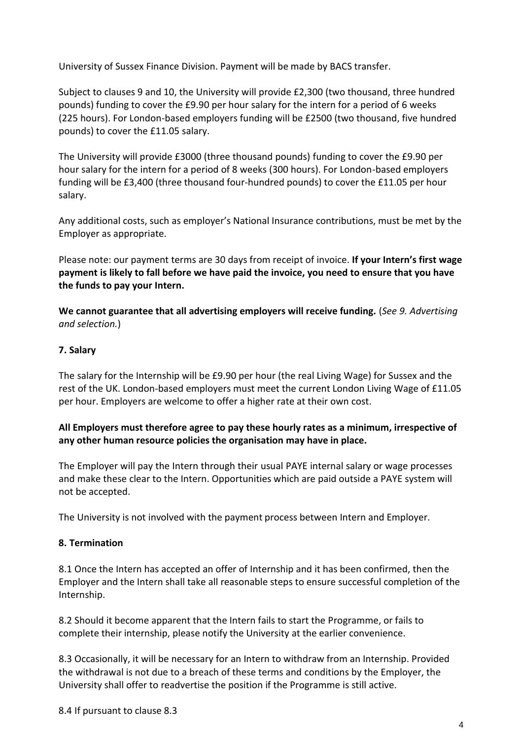University of Sussex Finance Division. Payment will be made by BACS transfer.

Subject to clauses 9 and 10, the University will provide £2,300 (two thousand, three hundred pounds) funding to cover the £9.90 per hour salary for the intern for a period of 6 weeks (225 hours). For London-based employers funding will be £2500 (two thousand, five hundred pounds) to cover the £11.05 salary.

The University will provide £3000 (three thousand pounds) funding to cover the £9.90 per hour salary for the intern for a period of 8 weeks (300 hours). For London-based employers funding will be £3,400 (three thousand four-hundred pounds) to cover the £11.05 per hour salary.

Any additional costs, such as employer's National Insurance contributions, must be met by the Employer as appropriate.

Please note: our payment terms are 30 days from receipt of invoice. **If your Intern's first wage payment is likely to fall before we have paid the invoice, you need to ensure that you have the funds to pay your Intern.**

**We cannot guarantee that all advertising employers will receive funding.** (*See 9. Advertising and selection.*)

#### **7. Salary**

The salary for the Internship will be £9.90 per hour (the real Living Wage) for Sussex and the rest of the UK. London-based employers must meet the current London Living Wage of £11.05 per hour. Employers are welcome to offer a higher rate at their own cost.

# **All Employers must therefore agree to pay these hourly rates as a minimum, irrespective of any other human resource policies the organisation may have in place.**

The Employer will pay the Intern through their usual PAYE internal salary or wage processes and make these clear to the Intern. Opportunities which are paid outside a PAYE system will not be accepted.

The University is not involved with the payment process between Intern and Employer.

#### **8. Termination**

8.1 Once the Intern has accepted an offer of Internship and it has been confirmed, then the Employer and the Intern shall take all reasonable steps to ensure successful completion of the Internship.

8.2 Should it become apparent that the Intern fails to start the Programme, or fails to complete their internship, please notify the University at the earlier convenience.

8.3 Occasionally, it will be necessary for an Intern to withdraw from an Internship. Provided the withdrawal is not due to a breach of these terms and conditions by the Employer, the University shall offer to readvertise the position if the Programme is still active.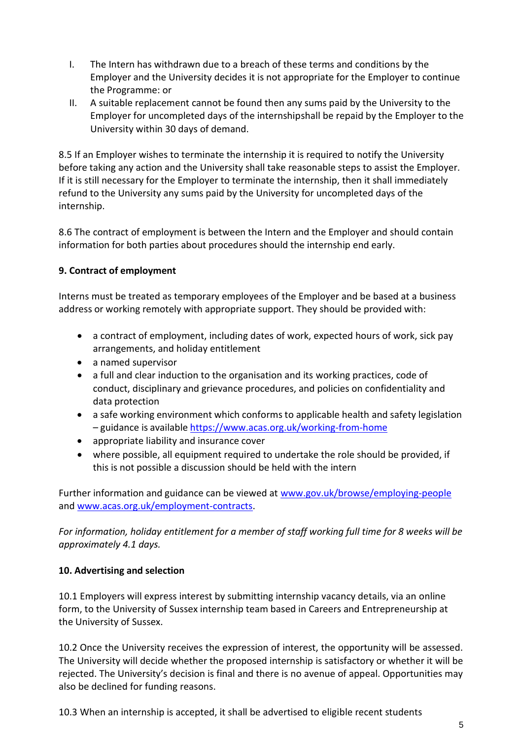- I. The Intern has withdrawn due to a breach of these terms and conditions by the Employer and the University decides it is not appropriate for the Employer to continue the Programme: or
- II. A suitable replacement cannot be found then any sums paid by the University to the Employer for uncompleted days of the internshipshall be repaid by the Employer to the University within 30 days of demand.

8.5 If an Employer wishes to terminate the internship it is required to notify the University before taking any action and the University shall take reasonable steps to assist the Employer. If it is still necessary for the Employer to terminate the internship, then it shall immediately refund to the University any sums paid by the University for uncompleted days of the internship.

8.6 The contract of employment is between the Intern and the Employer and should contain information for both parties about procedures should the internship end early.

# **9. Contract of employment**

Interns must be treated as temporary employees of the Employer and be based at a business address or working remotely with appropriate support. They should be provided with:

- a contract of employment, including dates of work, expected hours of work, sick pay arrangements, and holiday entitlement
- a named supervisor
- a full and clear induction to the organisation and its working practices, code of conduct, disciplinary and grievance procedures, and policies on confidentiality and data protection
- a safe working environment which conforms to applicable health and safety legislation – guidance is available <https://www.acas.org.uk/working-from-home>
- appropriate liability and insurance cover
- where possible, all equipment required to undertake the role should be provided, if this is not possible a discussion should be held with the intern

Further information and guidance can be viewed at [www.gov.uk/browse/employing-people](http://www.gov.uk/browse/employing-people) and [www.acas.org.uk/employment-contracts.](http://www.acas.org.uk/employment-contracts)

*For information, holiday entitlement for a member of staff working full time for 8 weeks will be approximately 4.1 days.*

#### **10. Advertising and selection**

10.1 Employers will express interest by submitting internship vacancy details, via an online form, to the University of Sussex internship team based in Careers and Entrepreneurship at the University of Sussex.

10.2 Once the University receives the expression of interest, the opportunity will be assessed. The University will decide whether the proposed internship is satisfactory or whether it will be rejected. The University's decision is final and there is no avenue of appeal. Opportunities may also be declined for funding reasons.

10.3 When an internship is accepted, it shall be advertised to eligible recent students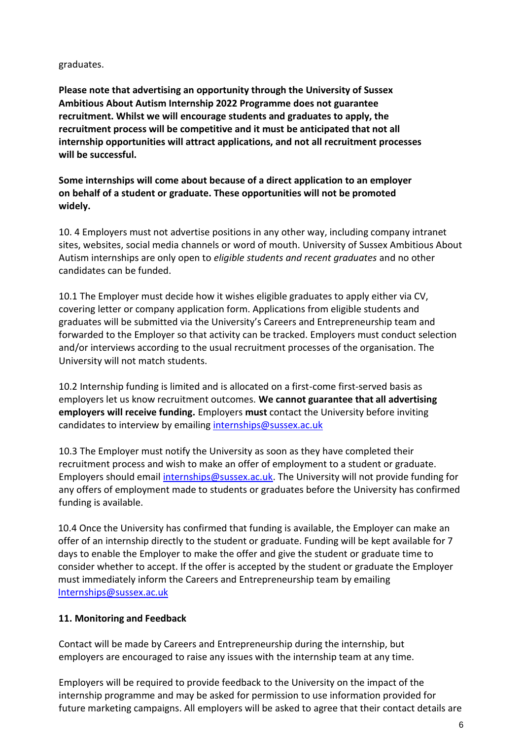#### graduates.

**Please note that advertising an opportunity through the University of Sussex Ambitious About Autism Internship 2022 Programme does not guarantee recruitment. Whilst we will encourage students and graduates to apply, the recruitment process will be competitive and it must be anticipated that not all internship opportunities will attract applications, and not all recruitment processes will be successful.**

**Some internships will come about because of a direct application to an employer on behalf of a student or graduate. These opportunities will not be promoted widely.**

10. 4 Employers must not advertise positions in any other way, including company intranet sites, websites, social media channels or word of mouth. University of Sussex Ambitious About Autism internships are only open to *eligible students and recent graduates* and no other candidates can be funded.

10.1 The Employer must decide how it wishes eligible graduates to apply either via CV, covering letter or company application form. Applications from eligible students and graduates will be submitted via the University's Careers and Entrepreneurship team and forwarded to the Employer so that activity can be tracked. Employers must conduct selection and/or interviews according to the usual recruitment processes of the organisation. The University will not match students.

10.2 Internship funding is limited and is allocated on a first-come first-served basis as employers let us know recruitment outcomes. **We cannot guarantee that all advertising employers will receive funding.** Employers **must** contact the University before inviting candidates to interview by emailing [internships@sussex.ac.uk](mailto:internships@sussex.ac.uk)

10.3 The Employer must notify the University as soon as they have completed their recruitment process and wish to make an offer of employment to a student or graduate. Employers should email [internships@sussex.ac.uk.](mailto:internships@sussex.ac.uk) The University will not provide funding for any offers of employment made to students or graduates before the University has confirmed funding is available.

10.4 Once the University has confirmed that funding is available, the Employer can make an offer of an internship directly to the student or graduate. Funding will be kept available for 7 days to enable the Employer to make the offer and give the student or graduate time to consider whether to accept. If the offer is accepted by the student or graduate the Employer must immediately inform the Careers and Entrepreneurship team by emailing [Internships@sussex.ac.uk](mailto:Internships@sussex.ac.uk)

#### **11. Monitoring and Feedback**

Contact will be made by Careers and Entrepreneurship during the internship, but employers are encouraged to raise any issues with the internship team at any time.

Employers will be required to provide feedback to the University on the impact of the internship programme and may be asked for permission to use information provided for future marketing campaigns. All employers will be asked to agree that their contact details are